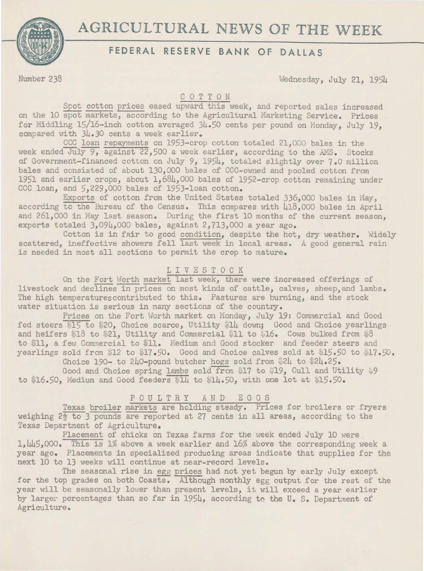

# **AGRICULTURAL** NEWS OF **THE** WEEK

## **FEDERAL RESERVE BANK OF DALLAS**

Number 238 Wednesday, July 21, 1954

#### C 0 T T 0 N

Spot cotton prices eased upward this week, and reported sales increased on the 10 spot markets, according to the Agricultural Marketing Service. Prices for Middling 15/16-inch cotton averaged 34.50 cents per pound on Monday, July 19, compared with  $34.30$  cents a week earlier.

CCC loan repayments on 1953-crop cotton totaled 21,000 bales in the week ended July 9, against 22,500 a week earlier, according to the *AMS.* Stocks of Government-financed cotton on July 9, 1954, totaled slightly over 7.0 million bales and consisted of about 130,000 bales of CCC-owned and pooled cotton from 1951 and earlier crops, about 1,684,000 bales of 1952- crop cotton remaining under CCC loan, and 5,229,000 bales of 1953-loan cotton.

Exports of cotton from the United States totaled 336,000 bales in May, according to the Bureau of the Census. This compares with 418,000 bales in April and 261,000 in May last season. During the first 10 months of the current season, exports totaled 3,094,000 bales, against 2,713,000 a year ago.

Cotton is in fair to good condition, despite the hot, dry weather. Widely scattered, ineffective showers fell last week in local areas. A good general rain is needed in most all sections to permit the crop to mature.

#### L I V E S T 0 C K

On the Fort Worth market last week, there were increased offerings of livestock and declines in prices on most kinds of cattle, calves, sheep, and lambs. The high temperatures contributed to this. Pastures are burning, and the stock water situation is serious in many sections of the country.

Prices on the Fort Worth market on Monday, July 19: Commercial and Good fed steers \$15 to \$20, Choice scarce, Utility \$14 down; Good and Choice yearlings and heifers \$18 to \$21, Utility and Commercial \$11 to \$16. Cows bulked from  $$8$ to \$11, a few Commercial to \$11. Medium and Good stocker and feeder steers and yearlings sold from \$12 to \$17.50. Good and Choice calves sold at \$15.50 to \$17.50. Choice 190- to 240-pound butcher hogs sold from \$24 to \$24.25.

Good and Choice spring lambs sold from \$17 to \$19, Cull and Utility  $$9$ to \$16.50, Medium and Good feeders  $$14$  to  $$14.50$ , with one lot at  $$15.50$ .

### POULTRY AND EGGS

Texas broiler markets are holding steady. Prices for broilers or fryers weighing 2f to *3* pounds are reported at 27 cents in all areas, according to the Texas Department of Agriculture.

Placement of chicks on Texas farms for the week ended July 10 were 1,445,000. This is 1% above a week earlier and 16% above the corresponding week a year ago. Placements in specialized producing areas indicate that supplies for the next 10 to 13 weeks will continue at near-record levels.

The seasonal rise in egg prices had not yet begun by early July except for the top grades on both Coasts. Although monthly egg output for the rest of the year will be seasonally lower than present levels, it will exceed a year earlier by larger percentages than so far in 1954, according to the U. S. Department of Agriculture.